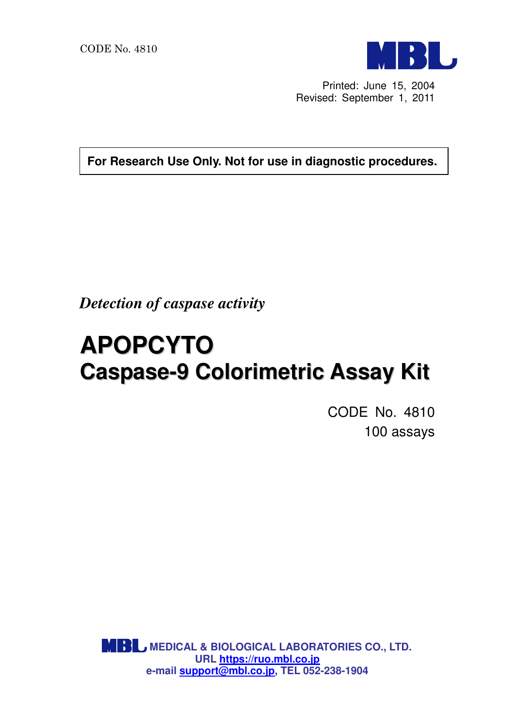

Printed: June 15, 2004 Revised: September 1, 2011

**For Research Use Only. Not for use in diagnostic procedures.**

*Detection of caspase activity* 

# **APOPCYTO Caspase-9 Colorimetric Assay Kit**

CODE No. 4810 100 assays

**MBL, MEDICAL & BIOLOGICAL LABORATORIES CO., LTD. URL https://ruo.mbl.co.jp e-mail support@mbl.co.jp, TEL 052-238-1904**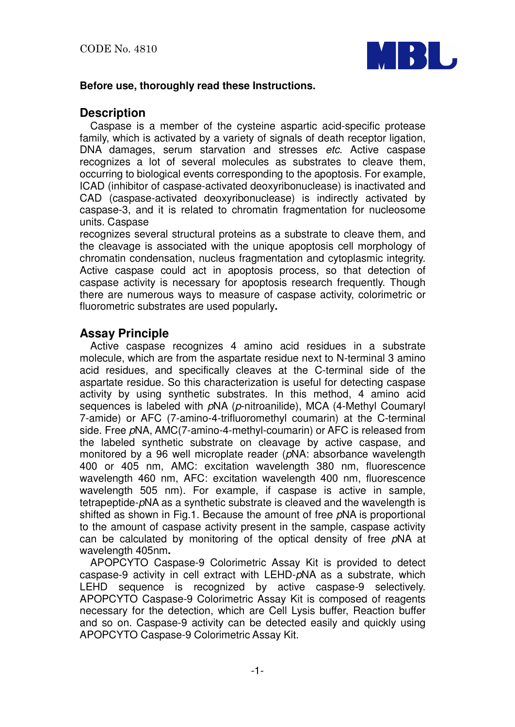

#### **Before use, thoroughly read these Instructions.**

## **Description**

Caspase is a member of the cysteine aspartic acid-specific protease family, which is activated by a variety of signals of death receptor ligation, DNA damages, serum starvation and stresses etc. Active caspase recognizes a lot of several molecules as substrates to cleave them, occurring to biological events corresponding to the apoptosis. For example, ICAD (inhibitor of caspase-activated deoxyribonuclease) is inactivated and CAD (caspase-activated deoxyribonuclease) is indirectly activated by caspase-3, and it is related to chromatin fragmentation for nucleosome units. Caspase

recognizes several structural proteins as a substrate to cleave them, and the cleavage is associated with the unique apoptosis cell morphology of chromatin condensation, nucleus fragmentation and cytoplasmic integrity. Active caspase could act in apoptosis process, so that detection of caspase activity is necessary for apoptosis research frequently. Though there are numerous ways to measure of caspase activity, colorimetric or fluorometric substrates are used popularly**.**

## **Assay Principle**

Active caspase recognizes 4 amino acid residues in a substrate molecule, which are from the aspartate residue next to N-terminal 3 amino acid residues, and specifically cleaves at the C-terminal side of the aspartate residue. So this characterization is useful for detecting caspase activity by using synthetic substrates. In this method, 4 amino acid sequences is labeled with pNA (p-nitroanilide), MCA (4-Methyl Coumaryl 7-amide) or AFC (7-amino-4-trifluoromethyl coumarin) at the C-terminal side. Free pNA, AMC(7-amino-4-methyl-coumarin) or AFC is released from the labeled synthetic substrate on cleavage by active caspase, and monitored by a 96 well microplate reader (pNA: absorbance wavelength 400 or 405 nm, AMC: excitation wavelength 380 nm, fluorescence wavelength 460 nm, AFC: excitation wavelength 400 nm, fluorescence wavelength 505 nm). For example, if caspase is active in sample, tetrapeptide-pNA as a synthetic substrate is cleaved and the wavelength is shifted as shown in Fig.1. Because the amount of free pNA is proportional to the amount of caspase activity present in the sample, caspase activity can be calculated by monitoring of the optical density of free pNA at wavelength 405nm**.**

APOPCYTO Caspase-9 Colorimetric Assay Kit is provided to detect caspase-9 activity in cell extract with LEHD-pNA as a substrate, which LEHD sequence is recognized by active caspase-9 selectively. APOPCYTO Caspase-9 Colorimetric Assay Kit is composed of reagents necessary for the detection, which are Cell Lysis buffer, Reaction buffer and so on. Caspase-9 activity can be detected easily and quickly using APOPCYTO Caspase-9 Colorimetric Assay Kit.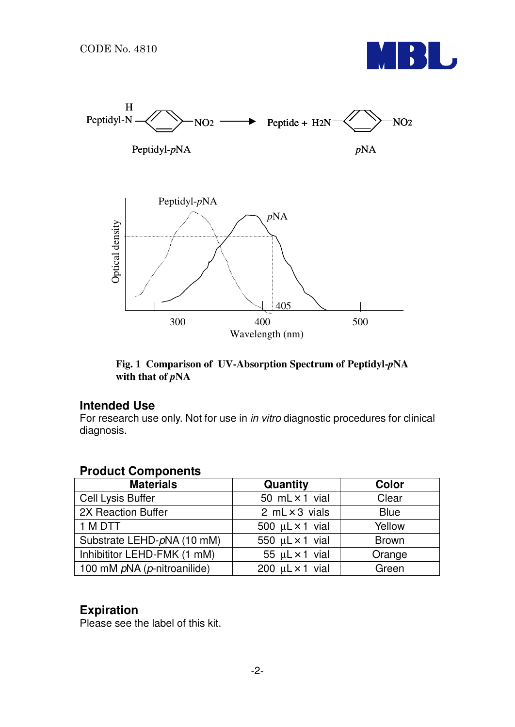



**Fig. 1 Comparison of UV-Absorption Spectrum of Peptidyl-***p***NA** with that of  $pNA$ 

#### **Intended Use**

For research use only. Not for use in in vitro diagnostic procedures for clinical diagnosis.

## **Product Components**

| <b>Materials</b>            | Quantity                    | Color        |
|-----------------------------|-----------------------------|--------------|
| Cell Lysis Buffer           | 50 $mL \times 1$ vial       | Clear        |
| 2X Reaction Buffer          | 2 $mL \times 3$ vials       | <b>Blue</b>  |
| 1 M DTT                     | 500 $\mu$ L $\times$ 1 vial | Yellow       |
| Substrate LEHD-pNA (10 mM)  | 550 $\mu$ L $\times$ 1 vial | <b>Brown</b> |
| Inhibititor LEHD-FMK (1 mM) | 55 $\mu$ L × 1 vial         | Orange       |
| 100 mM pNA (p-nitroanilide) | 200 $\mu$ L $\times$ 1 vial | Green        |

## **Expiration**

Please see the label of this kit.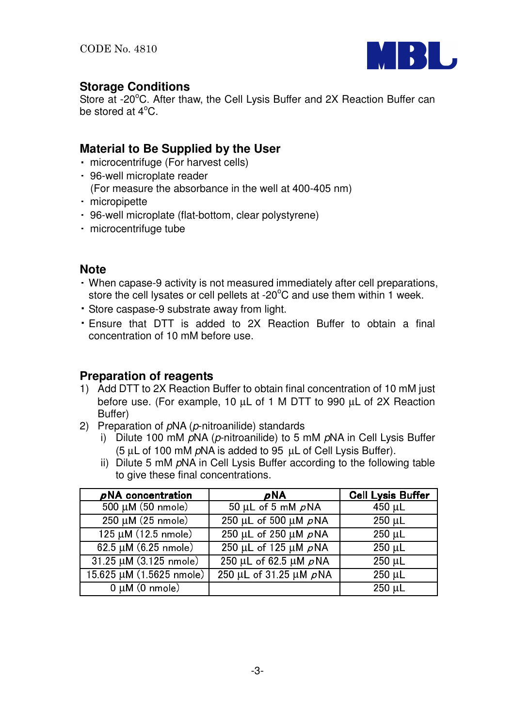

## **Storage Conditions**

Store at -20°C. After thaw, the Cell Lysis Buffer and 2X Reaction Buffer can be stored at  $4^{\circ}$ C.

## **Material to Be Supplied by the User**

- microcentrifuge (For harvest cells)
- 96-well microplate reader
- (For measure the absorbance in the well at 400-405 nm)
- micropipette
- 96-well microplate (flat-bottom, clear polystyrene)
- microcentrifuge tube

## **Note**

- When capase-9 activity is not measured immediately after cell preparations, store the cell lysates or cell pellets at -20 $\mathrm{^{\circ}C}$  and use them within 1 week.
- ・ Store caspase-9 substrate away from light.
- ・ Ensure that DTT is added to 2X Reaction Buffer to obtain a final concentration of 10 mM before use.

## **Preparation of reagents**

- 1) Add DTT to 2X Reaction Buffer to obtain final concentration of 10 mM just before use. (For example, 10 µL of 1 M DTT to 990 µL of 2X Reaction Buffer)
- 2) Preparation of  $pNA$  ( $p$ -nitroanilide) standards
	- i) Dilute 100 mM pNA (p-nitroanilide) to 5 mM pNA in Cell Lysis Buffer (5  $\mu$ L of 100 mM  $\rho$ NA is added to 95  $\mu$ L of Cell Lysis Buffer).
	- ii) Dilute 5 mM pNA in Cell Lysis Buffer according to the following table to give these final concentrations.

| pNA concentration                 | pNA                                  | <b>Cell Lysis Buffer</b> |
|-----------------------------------|--------------------------------------|--------------------------|
| $500 \mu M (50 \text{ nmole})$    | 50 µL of 5 mM $\rho$ NA              | 450 µL                   |
| $250 \mu M (25 \text{ nm})$       | $250 \mu L$ of 500 $\mu$ M $\rho$ NA | $250 \mu L$              |
| $125 \mu M (12.5 \text{ nmole})$  | 250 µL of 250 µM $\rho$ NA           | $250 \mu L$              |
| $62.5 \mu M (6.25 \text{ nmole})$ | 250 µL of 125 µM $\rho$ NA           | 250 µL                   |
| 31.25 µM (3.125 nmole)            | 250 μL of 62.5 μM pNA                | $250 \mu L$              |
| 15.625 µM (1.5625 nmole)          | 250 μL of 31.25 μM pNA               | $250 \mu L$              |
| $0 \mu M$ (0 nmole)               |                                      | $250 \mu L$              |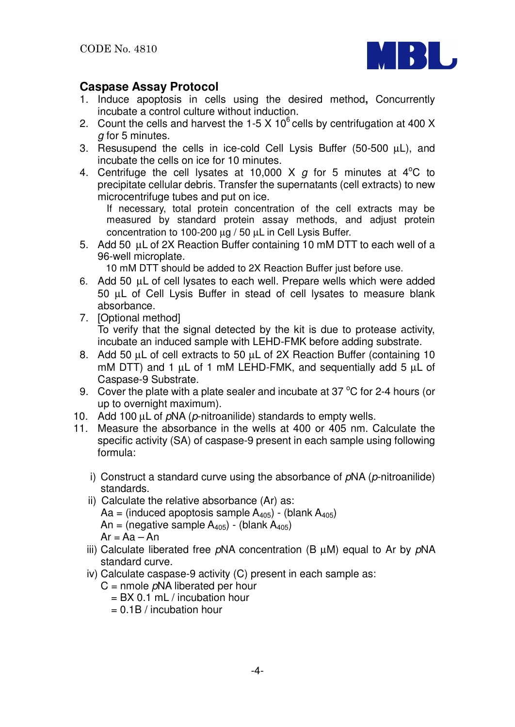

## **Caspase Assay Protocol**

- 1. Induce apoptosis in cells using the desired method**,** Concurrently incubate a control culture without induction.
- 2. Count the cells and harvest the 1-5 X  $10^6$  cells by centrifugation at 400 X g for 5 minutes.
- 3. Resusupend the cells in ice-cold Cell Lysis Buffer (50-500 µL), and incubate the cells on ice for 10 minutes.
- 4. Centrifuge the cell lysates at 10,000 X  $g$  for 5 minutes at 4<sup>o</sup>C to precipitate cellular debris. Transfer the supernatants (cell extracts) to new microcentrifuge tubes and put on ice.

If necessary, total protein concentration of the cell extracts may be measured by standard protein assay methods, and adjust protein concentration to 100-200 µg / 50 µL in Cell Lysis Buffer.

5. Add 50 µL of 2X Reaction Buffer containing 10 mM DTT to each well of a 96-well microplate.

10 mM DTT should be added to 2X Reaction Buffer just before use.

- 6. Add 50 µL of cell lysates to each well. Prepare wells which were added 50 µL of Cell Lysis Buffer in stead of cell lysates to measure blank absorbance.
- 7. [Optional method] To verify that the signal detected by the kit is due to protease activity, incubate an induced sample with LEHD-FMK before adding substrate.
- 8. Add 50 µL of cell extracts to 50 µL of 2X Reaction Buffer (containing 10 mM DTT) and 1  $\mu$ L of 1 mM LEHD-FMK, and sequentially add 5  $\mu$ L of Caspase-9 Substrate.
- 9. Cover the plate with a plate sealer and incubate at 37  $\mathrm{^{\circ}C}$  for 2-4 hours (or up to overnight maximum).
- 10. Add 100  $\mu$ L of  $pNA$  ( $p$ -nitroanilide) standards to empty wells.
- 11. Measure the absorbance in the wells at 400 or 405 nm. Calculate the specific activity (SA) of caspase-9 present in each sample using following formula:
	- i) Construct a standard curve using the absorbance of  $pNA$  ( $p$ -nitroanilide) standards.
	- ii) Calculate the relative absorbance (Ar) as: Aa = (induced apoptosis sample  $A_{405}$ ) - (blank  $A_{405}$ ) An = (negative sample  $A_{405}$ ) - (blank  $A_{405}$ )  $Ar = Aa - An$
	- iii) Calculate liberated free  $pNA$  concentration (B  $\mu$ M) equal to Ar by  $pNA$ standard curve.
	- iv) Calculate caspase-9 activity (C) present in each sample as:
		- $C =$  nmole  $pNA$  liberated per hour
			- $=$  BX 0.1 mL / incubation hour
			- $= 0.1B /$  incubation hour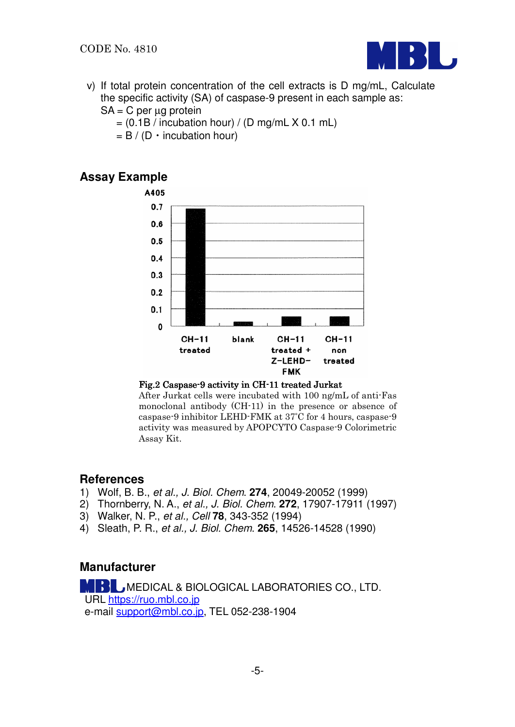

v) If total protein concentration of the cell extracts is D mg/mL, Calculate the specific activity (SA) of caspase-9 present in each sample as:

```
SA = C per \mug protein
```
- $= (0.1B /$  incubation hour) / (D mg/mL X 0.1 mL)
- $= B / (D \cdot incubation hour)$

## **Assay Example**



#### Fig.2 Caspase-9 activity in CH-11 treated Jurkat

After Jurkat cells were incubated with 100 ng/mL of anti-Fas monoclonal antibody (CH-11) in the presence or absence of caspase-9 inhibitor LEHD-FMK at 37°C for 4 hours, caspase-9 activity was measured by APOPCYTO Caspase-9 Colorimetric Assay Kit.

## **References**

- 1) Wolf, B. B., et al., J. Biol. Chem. **274**, 20049-20052 (1999)
- 2) Thornberry, N. A., et al., J. Biol. Chem. **272**, 17907-17911 (1997)
- 3) Walker, N. P., et al., Cell **78**, 343-352 (1994)
- 4) Sleath, P. R., et al., J. Biol. Chem. **265**, 14526-14528 (1990)

## **Manufacturer**

 MEDICAL & BIOLOGICAL LABORATORIES CO., LTD. URL https://ruo.mbl.co.jp e-mail support@mbl.co.jp, TEL 052-238-1904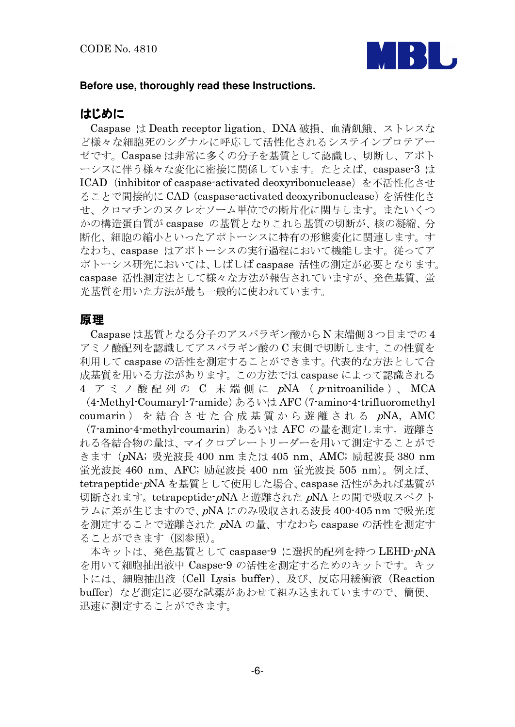

#### Before use, thoroughly read these Instructions.

## はじめに

Caspase は Death receptor ligation、DNA 破損、血清飢餓、ストレスな ど様々な細胞死のシグナルに呼応して活性化されるシステインプロテアー ゼです。Caspase は非常に多くの分子を基質として認識し、切断し、アポト ーシスに伴う様々な変化に密接に関係しています。たとえば、caspase-3 は ICAD (inhibitor of caspase-activated deoxyribonuclease) を不活性化させ ることで間接的に CAD (caspase-activated deoxyribonuclease) を活性化さ せ、クロマチンのヌクレオソーム単位での断片化に関与します。またいくつ かの構造蛋白質が caspase の基質となりこれら基質の切断が、核の凝縮、分 断化、細胞の縮小といったアポトーシスに特有の形態変化に関連します。す なわち、caspase はアポトーシスの実行過程において機能します。従ってア ポトーシス研究においては、しばしば caspase 活性の測定が必要となります。 caspase 活性測定法として様々な方法が報告されていますが、発色基質、蛍 光基質を用いた方法が最も一般的に使われています。

#### 原理

Caspase は基質となる分子のアスパラギン酸からN末端側3つ目までの4 アミノ酸配列を認識してアスパラギン酸の C 末側で切断します。この性質を 利用して caspase の活性を測定することができます。代表的な方法として合 成基質を用いる方法があります。この方法では caspase によって認識される 4 アミノ酸配列の C 末端側に pNA (p-nitroanilide)、MCA

(4-Methyl-Coumaryl-7-amide) あるいは AFC (7-amino-4-trifluoromethyl coumarin) を結合させた合成基質から遊離される pNA, AMC

(7-amino-4-methyl-coumarin) あるいは AFC の量を測定します。遊離さ れる各結合物の量は、マイクロプレートリーダーを用いて測定することがで きます (pNA; 吸光波長 400 nm または 405 nm、AMC; 励起波長 380 nm 蛍光波長 460 nm、AFC; 励起波長 400 nm 蛍光波長 505 nm)。例えば、 tetrapeptide-pNA を基質として使用した場合、caspase 活性があれば基質が 切断されます。tetrapeptide-pNA と遊離された pNA との間で吸収スペクト ラムに差が生じますので、pNA にのみ吸収される波長 400-405 nm で吸光度 を測定することで遊離された pNA の量、すなわち caspase の活性を測定す ることができます(図参照)。

本キットは、発色基質として caspase-9 に選択的配列を持つ LEHD-pNA を用いて細胞抽出液中 Caspse-9 の活性を測定するためのキットです。キッ トには、細胞抽出液 (Cell Lysis buffer)、及び、反応用緩衝液 (Reaction buffer) など測定に必要な試薬があわせて組み込まれていますので、簡便、 迅速に測定することができます。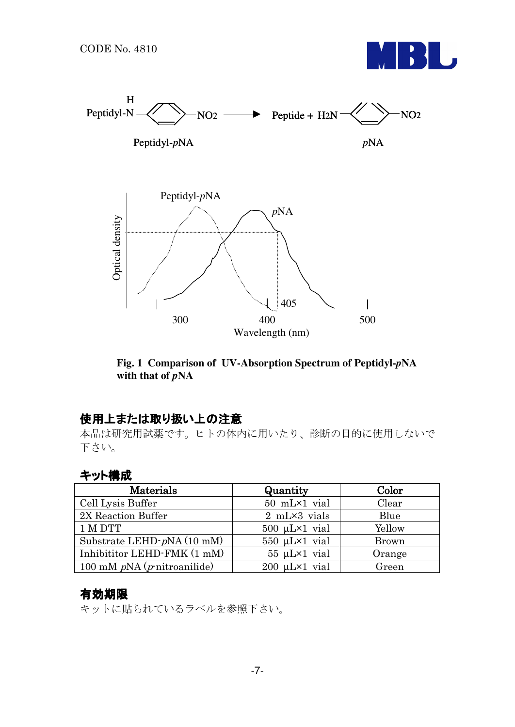



Fig. 1 Comparison of UV-Absorption Spectrum of Peptidyl-pNA with that of  $pNA$ 

## 使用上または取り扱い上の注意

本品は研究用試薬です。ヒトの体内に用いたり、診断の目的に使用しないで 下さい。

## キット構成

| Materials                              | Quantity                  | Color        |
|----------------------------------------|---------------------------|--------------|
| Cell Lysis Buffer                      | 50 mL×1 vial              | Clear        |
| 2X Reaction Buffer                     | $2$ mL $\times$ 3 vials   | Blue         |
| 1 M DTT                                | $500 \mu L \times 1$ vial | Yellow       |
| Substrate LEHD-pNA (10 mM)             | $550 \mu L \times 1$ vial | <b>Brown</b> |
| Inhibititor LEHD-FMK (1 mM)            | $55 \mu L \times 1$ vial  | Orange       |
| 100 mM $pNA$ ( <i>p</i> -nitroanilide) | $200 \mu L \times 1$ vial | Green        |

#### 有効期限

キットに貼られているラベルを参照下さい。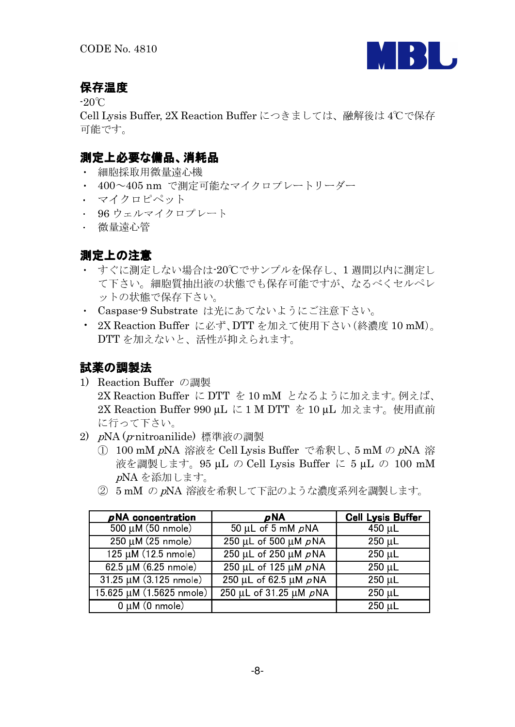

## 保存温度

 $-20^{\circ}$ C

Cell Lysis Buffer, 2X Reaction Buffer につきましては、融解後は 4℃で保存 可能です。

## 測定上必要な備品、消耗品

- 細胞採取用微量遠心機
- · 400~405 nm で測定可能なマイクロプレートリーダー
- ・ マイクロピペット
- 96 ウェルマイクロプレート
- 微量遠心管

## 測定上の注意

- すぐに測定しない場合は-20℃でサンプルを保存し、1週間以内に測定し て下さい。細胞質抽出液の状態でも保存可能ですが、なるべくセルペレ ットの状態で保存下さい。
- · Caspase-9 Substrate は光にあてないようにご注意下さい。
- 2X Reaction Buffer に必ず、DTT を加えて使用下さい(終濃度 10 mM)。 DTTを加えないと、活性が抑えられます。

## 試薬の調製法

- 1) Reaction Buffer の調製 2X Reaction Buffer に DTT を 10 mM となるように加えます。例えば、 2X Reaction Buffer 990 μL に 1 M DTT を 10 μL 加えます。使用直前 に行って下さい。
- 2) pNA (p-nitroanilide) 標準液の調製
	- 100 mM pNA 溶液を Cell Lysis Buffer で希釈し、5 mM の pNA 溶 液を調製します。95 µL の Cell Lysis Buffer に 5 µL の 100 mM pNA を添加します。
	- 2 5mM の pNA 溶液を希釈して下記のような濃度系列を調製します。

| pNA concentration                     | <b>pNA</b>                              | <b>Cell Lysis Buffer</b> |
|---------------------------------------|-----------------------------------------|--------------------------|
| $500 \mu M (50 \text{ nmole})$        | $\overline{50 \mu L}$ of 5 mM $\rho$ NA | $450 \mu L$              |
| $250 \mu M (25 \text{ nm})$           | 250 µL of 500 µM $\rho$ NA              | $250 \mu L$              |
| 125 µM (12.5 nmole)                   | $250$ µL of $250$ µM $\rho$ NA          | $250 \mu L$              |
| $62.5 \mu M (6.25 \text{ nmole})$     | 250 µL of 125 µM $\rho$ NA              | $250 \mu L$              |
| $31.25 \mu M (3.125 \text{ nm})$      | 250 μL of 62.5 μM pNA                   | $250 \mu L$              |
| $15.625 \mu M (1.5625 \text{ nmole})$ | 250 µL of 31.25 µM pNA                  | $250 \mu L$              |
| $0 \mu M$ (0 nmole)                   |                                         | 250 µL                   |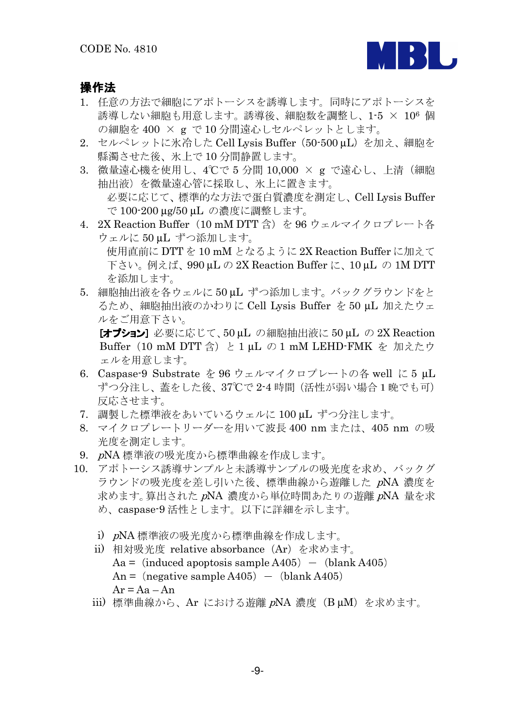

#### 操作法

- 1. 任意の方法で細胞にアポトーシスを誘導します。同時にアポトーシスを 誘導しない細胞も用意します。誘導後、細胞数を調整し、1-5 × 106 個 の細胞を 400 × g で 10 分間遠心しセルペレットとします。
- 2. セルペレットに氷冷した Cell Lysis Buffer (50-500 uL) を加え、細胞を 縣濁させた後、氷上で10分間静置します。
- 3. 微量遠心機を使用し、4℃で5分間 10,000 × g で遠心し、上清 (細胞 抽出液)を微量遠心管に採取し、氷上に置きます。 必要に応じて、標準的な方法で蛋白質濃度を測定し、Cell Lysis Buffer で 100-200 µg/50 µL の濃度に調整します。
- 4. 2X Reaction Buffer (10 mM DTT 含) を 96 ウェルマイクロプレート各 ウェルに 50 µL ずつ添加します。 使用直前に DTT を 10 mM となるように 2X Reaction Buffer に加えて

下さい。例えば、990μLの2X Reaction Buffer に、10μL の 1M DTT を添加します。

5. 細胞抽出液を各ウェルに50 uL ずつ添加します。バックグラウンドをと るため、細胞抽出液のかわりに Cell Lysis Buffer を50 µL 加えたウェ ルをご用意下さい。

[オプション] 必要に応じて、50μL の細胞抽出液に 50μL の 2X Reaction Buffer (10 mM DTT 含) と 1 uL の 1 mM LEHD-FMK を 加えたウ ェルを用意します。

- 6. Caspase-9 Substrate を 96 ウェルマイクロプレートの各 well に5 μL ずつ分注し、蓋をした後、37℃で2-4時間(活性が弱い場合1晩でも可) 反応させます。
- 7. 調製した標準液をあいているウェルに 100 µL ずつ分注します。
- 8. マイクロプレートリーダーを用いて波長 400 nm または、405 nm の吸 光度を測定します。
- 9. nNA標準液の吸光度から標準曲線を作成します。
- 10. アポトーシス誘導サンプルと未誘導サンプルの吸光度を求め、バックグ ラウンドの吸光度を差し引いた後、標準曲線から遊離した pNA 濃度を 求めます。算出された pNA 濃度から単位時間あたりの遊離 pNA 量を求 め、caspase-9 活性とします。以下に詳細を示します。
	- i) pNA 標準液の吸光度から標準曲線を作成します。
	- ii) 相対吸光度 relative absorbance (Ar) を求めます。  $Aa = (induced\text{ apoptosis sample } A405) - (blank A405)$ An =  $(negative sample A405)$  -  $(blank A405)$  $Ar = Aa - An$
	- iii) 標準曲線から、Ar における遊離 pNA 濃度 (B µM) を求めます。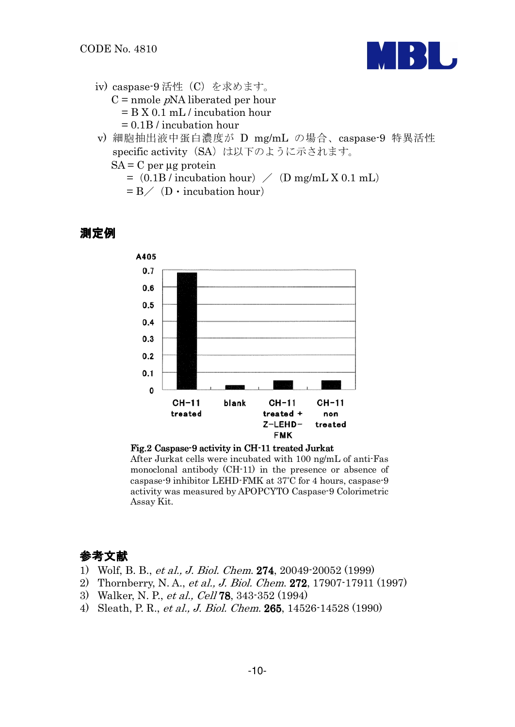

- iv) caspase-9 活性 (C) を求めます。  $C =$  nmole *p*NA liberated per hour  $= B X 0.1 mL /$  incubation hour  $= 0.1B/$  incubation hour
- v) 細胞抽出液中蛋白濃度が D mg/mL の場合、caspase-9 特異活性 specific activity (SA) は以下のように示されます。
	- $SA = C$  per  $\mu$ g protein

 $=$  (0.1B / incubation hour)  $/$  (D mg/mL X 0.1 mL)

 $= B / (D \cdot$  incubation hour)

## 測定例



Fig.2 Caspase 9 activity in CH-11 treated Jurkat After Jurkat cells were incubated with 100 ng/mL of anti-Fas monoclonal antibody (CH-11) in the presence or absence of caspase-9 inhibitor LEHD-FMK at 37°C for 4 hours, caspase-9 activity was measured by APOPCYTO Caspase-9 Colorimetric Assay Kit.

## 参考文献

- 1) Wolf, B. B., et al., J. Biol. Chem. 274, 20049-20052 (1999)
- 2) Thornberry, N. A., et al., J. Biol. Chem. 272, 17907-17911 (1997)
- 3) Walker, N. P., et al., Cell 78, 343-352 (1994)
- 4) Sleath, P. R., et al., J. Biol. Chem. 265, 14526-14528 (1990)